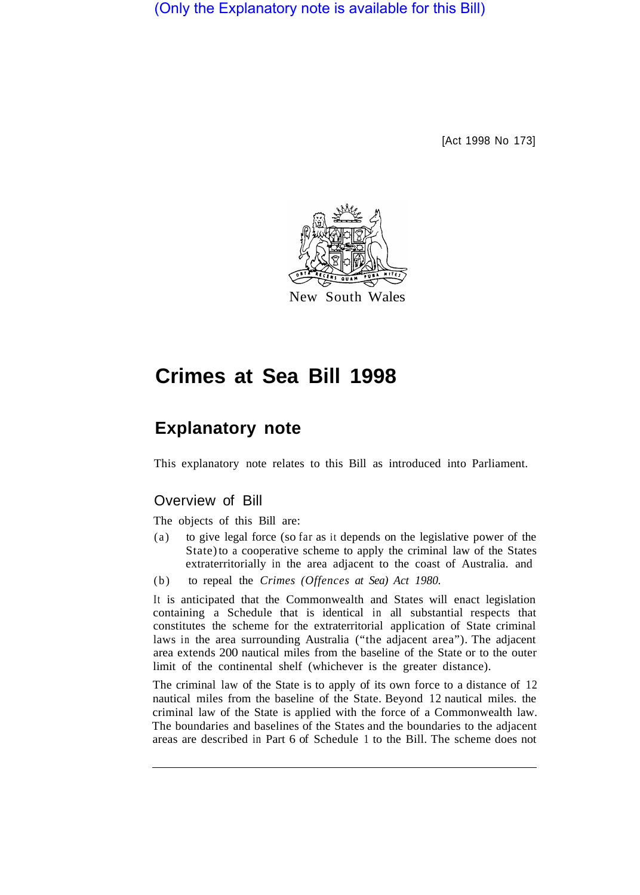(Only the Explanatory note is available for this Bill)

[Act 1998 No 173]



New South Wales

# **Crimes at Sea Bill 1998**

# **Explanatory note**

This explanatory note relates to this Bill as introduced into Parliament.

## Overview of Bill

The objects of this Bill are:

- (a) to give legal force (so far as it depends on the legislative power of the State) to a cooperative scheme to apply the criminal law of the States extraterritorially in the area adjacent to the coast of Australia. and
- (b) to repeal the *Crimes (Offences at Sea) Act 1980.*

It is anticipated that the Commonwealth and States will enact legislation containing a Schedule that is identical in all substantial respects that constitutes the scheme for the extraterritorial application of State criminal laws in the area surrounding Australia ("the adjacent area"). The adjacent area extends 200 nautical miles from the baseline of the State or to the outer limit of the continental shelf (whichever is the greater distance).

The criminal law of the State is to apply of its own force to a distance of 12 nautical miles from the baseline of the State. Beyond 12 nautical miles. the criminal law of the State is applied with the force of a Commonwealth law. The boundaries and baselines of the States and the boundaries to the adjacent areas are described in Part 6 of Schedule 1 to the Bill. The scheme does not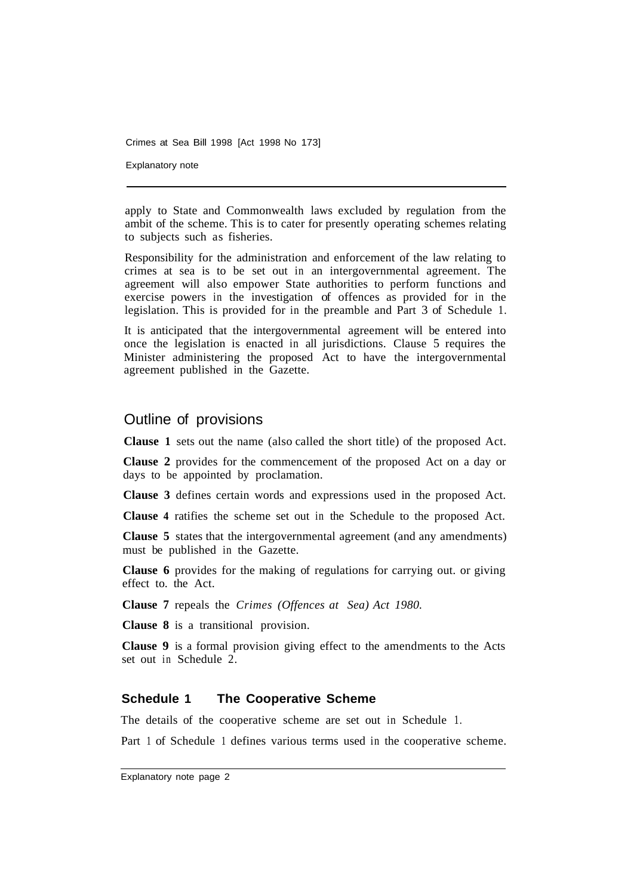Crimes at Sea Bill 1998 [Act 1998 No 173]

Explanatory note

apply to State and Commonwealth laws excluded by regulation from the ambit of the scheme. This is to cater for presently operating schemes relating to subjects such as fisheries.

Responsibility for the administration and enforcement of the law relating to crimes at sea is to be set out in an intergovernmental agreement. The agreement will also empower State authorities to perform functions and exercise powers in the investigation of offences as provided for in the legislation. This is provided for in the preamble and Part 3 of Schedule 1.

It is anticipated that the intergovernmental agreement will be entered into once the legislation is enacted in all jurisdictions. Clause 5 requires the Minister administering the proposed Act to have the intergovernmental agreement published in the Gazette.

### Outline of provisions

**Clause 1** sets out the name (also called the short title) of the proposed Act.

**Clause 2** provides for the commencement of the proposed Act on a day or days to be appointed by proclamation.

**Clause 3** defines certain words and expressions used in the proposed Act.

**Clause 4** ratifies the scheme set out in the Schedule to the proposed Act.

**Clause 5** states that the intergovernmental agreement (and any amendments) must be published in the Gazette.

**Clause 6** provides for the making of regulations for carrying out. or giving effect to. the Act.

**Clause 7** repeals the *Crimes (Offences at Sea) Act 1980.* 

**Clause 8** is a transitional provision.

**Clause 9** is a formal provision giving effect to the amendments to the Acts set out in Schedule 2.

#### **Schedule 1 The Cooperative Scheme**

The details of the cooperative scheme are set out in Schedule 1.

Part 1 of Schedule 1 defines various terms used in the cooperative scheme.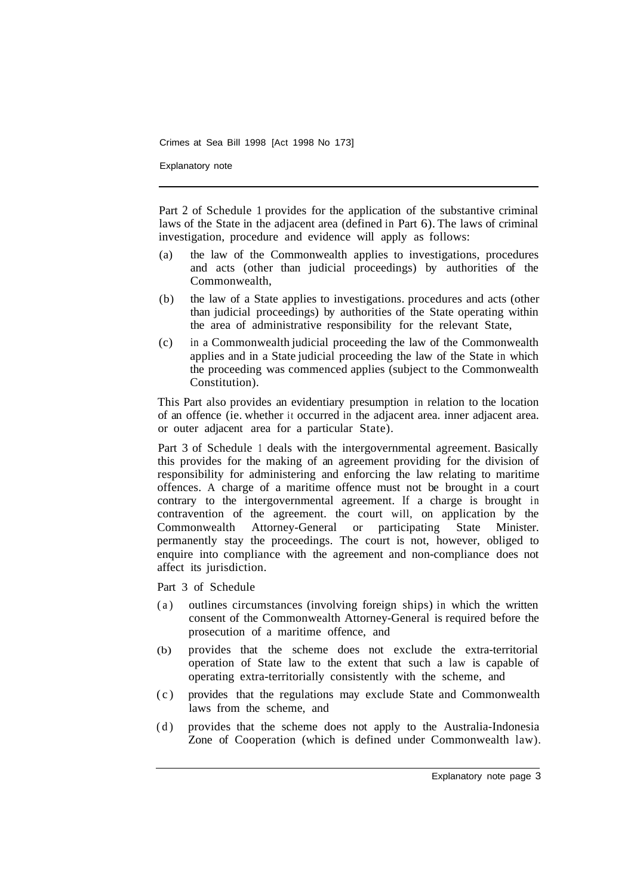Crimes at Sea Bill 1998 [Act 1998 No 173]

Explanatory note

Part 2 of Schedule 1 provides for the application of the substantive criminal laws of the State in the adjacent area (defined in Part 6). The laws of criminal investigation, procedure and evidence will apply as follows:

- (a) the law of the Commonwealth applies to investigations, procedures and acts (other than judicial proceedings) by authorities of the Commonwealth,
- (b) the law of a State applies to investigations. procedures and acts (other than judicial proceedings) by authorities of the State operating within the area of administrative responsibility for the relevant State,
- (c) in a Commonwealth judicial proceeding the law of the Commonwealth applies and in a State judicial proceeding the law of the State in which the proceeding was commenced applies (subject to the Commonwealth Constitution).

This Part also provides an evidentiary presumption in relation to the location of an offence (ie. whether it occurred in the adjacent area. inner adjacent area. or outer adjacent area for a particular State).

Part 3 of Schedule 1 deals with the intergovernmental agreement. Basically this provides for the making of an agreement providing for the division of responsibility for administering and enforcing the law relating to maritime offences. A charge of a maritime offence must not be brought in a court contrary to the intergovernmental agreement. If a charge is brought in contravention of the agreement. the court will, on application by the Commonwealth Attorney-General or participating State Minister. permanently stay the proceedings. The court is not, however, obliged to enquire into compliance with the agreement and non-compliance does not affect its jurisdiction.

Part 3 of Schedule

- (a) outlines circumstances (involving foreign ships) in which the written consent of the Commonwealth Attorney-General is required before the prosecution of a maritime offence, and
- (b) provides that the scheme does not exclude the extra-territorial operation of State law to the extent that such a law is capable of operating extra-territorially consistently with the scheme, and
- (c) provides that the regulations may exclude State and Commonwealth laws from the scheme, and
- (d) provides that the scheme does not apply to the Australia-Indonesia Zone of Cooperation (which is defined under Commonwealth law).